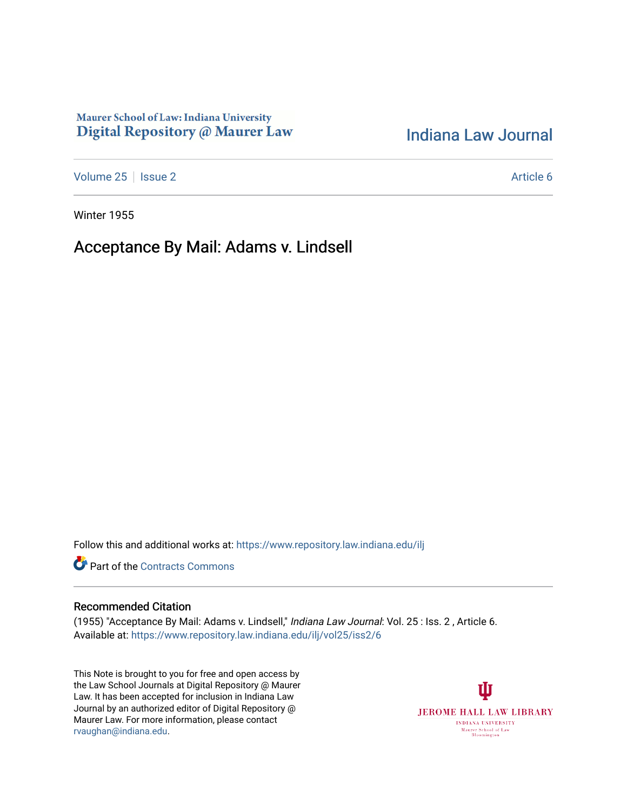### Maurer School of Law: Indiana University Digital Repository @ Maurer Law

# [Indiana Law Journal](https://www.repository.law.indiana.edu/ilj)

[Volume 25](https://www.repository.law.indiana.edu/ilj/vol25) | [Issue 2](https://www.repository.law.indiana.edu/ilj/vol25/iss2) Article 6

Winter 1955

## Acceptance By Mail: Adams v. Lindsell

Follow this and additional works at: [https://www.repository.law.indiana.edu/ilj](https://www.repository.law.indiana.edu/ilj?utm_source=www.repository.law.indiana.edu%2Filj%2Fvol25%2Fiss2%2F6&utm_medium=PDF&utm_campaign=PDFCoverPages) 

**Part of the [Contracts Commons](http://network.bepress.com/hgg/discipline/591?utm_source=www.repository.law.indiana.edu%2Filj%2Fvol25%2Fiss2%2F6&utm_medium=PDF&utm_campaign=PDFCoverPages)** 

#### Recommended Citation

(1955) "Acceptance By Mail: Adams v. Lindsell," Indiana Law Journal: Vol. 25 : Iss. 2 , Article 6. Available at: [https://www.repository.law.indiana.edu/ilj/vol25/iss2/6](https://www.repository.law.indiana.edu/ilj/vol25/iss2/6?utm_source=www.repository.law.indiana.edu%2Filj%2Fvol25%2Fiss2%2F6&utm_medium=PDF&utm_campaign=PDFCoverPages) 

This Note is brought to you for free and open access by the Law School Journals at Digital Repository @ Maurer Law. It has been accepted for inclusion in Indiana Law Journal by an authorized editor of Digital Repository @ Maurer Law. For more information, please contact [rvaughan@indiana.edu.](mailto:rvaughan@indiana.edu)

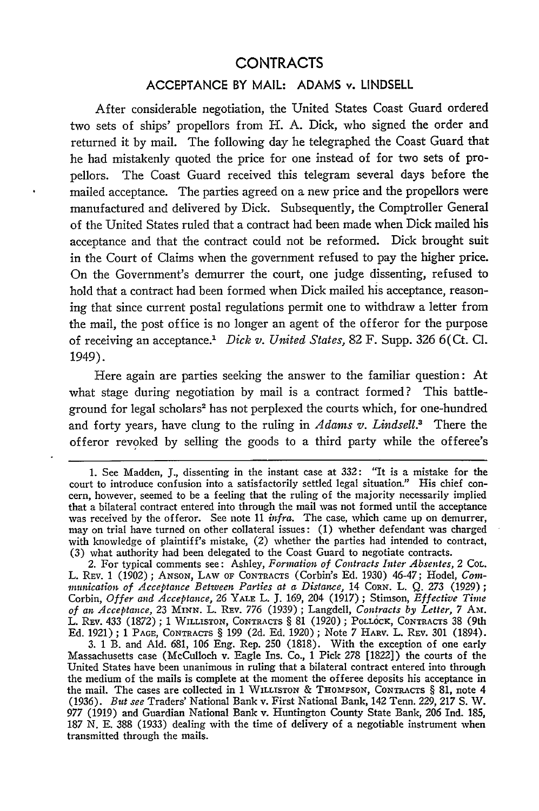### **CONTRACTS**

### **ACCEPTANCE** BY MAIL: **ADAMS** v. **LINDSELL**

After considerable negotiation, the United States Coast Guard ordered two sets of ships' propellors from H. A. Dick, who signed the order and returned it by mail. The following day he telegraphed the Coast Guard that he had mistakenly quoted the price for one instead of for two sets of propellors. The Coast Guard received this telegram several days before the mailed acceptance. The parties agreed on a new price and the propellors were manufactured and delivered by Dick. Subsequently, the Comptroller General of the United States ruled that a contract had been made when Dick mailed his acceptance and that the contract could not be reformed. Dick brought suit in the Court of Claims when the government refused to pay the higher price. On the Government's demurrer the court, one judge dissenting, refused to hold that a contract had been formed when Dick mailed his acceptance, reasoning that since current postal regulations permit one to withdraw a letter from the mail, the post office is no longer an agent of the of feror for the purpose of receiving an acceptance.' *Dick v. United States,* 82 F. Supp. 326 6(Ct. **Cl.** 1949).

Here again are parties seeking the answer to the familiar question: At what stage during negotiation by mail is a contract formed? This battleground for legal scholars<sup>2</sup> has not perplexed the courts which, for one-hundred and forty years, have clung to the ruling in *Adams v. Lindsell.3* There the offeror revoked by selling the goods to a third party while the offeree's

2. For typical comments see: Ashley, *Formation of Contracts Inter Absentes,* 2 CoL. L. REv. 1 (1902); ANSON, LAW OF **CONTRACTS** (Corbin's **Ed.** 1930) 46-47; Hodel, *Colnmnunication of Acceptance Between Parties at a Distance,* 14 CORN. L. Q. 273 (1929) **;** Corbin, *Offer and Acceptance,* 26 YALE L. **J.** 169, 204 (1917) ; Stimson, *Effective Time of an Acceptance,* 23 MINN. L. Rxv. 776 (1939) **;** Langdell, *Contracts by Letter, 7* AM%. L. Rev. 433 (1872); 1 WILLISTON, CONTRACTS § 81 (1920); POLLOCK, CONTRACTS 38 (9th Ed. 1921); 1 **PAGE, CONTRACTS** § 199 (2d. Ed. 1920); Note 7 HARv. L. REV. 301 (1894).

**3.** 1 B. and Ald. 681, 106 Eng. Rep. 250 (1818). With the exception of one early Massachusetts case (McCulloch v. Eagle Ins. Co., 1 Pick 278 [1822]) the courts of the United States have been unanimous in ruling that a bilateral contract entered into through the medium of the mails is complete at the moment the offeree deposits his acceptance in the mail. The cases are collected in 1 WILLISTON & THompSON, **CONTRACTS** § 81, note 4 (1936). *But see* Traders' National Bank v. First National Bank, 142 Tenn. 229, 217 *S.* W. 977 (1919) and Guardian National Bank v. Huntington County State Bank, 206 Ind. 185, 187 N. E. 388 (1933) dealing with the time of delivery of a negotiable instrument when transmitted through the mails.

<sup>1.</sup> See Madden, **J.,** dissenting in the instant case at 332: "It is a mistake for the court to introduce confusion into a satisfactorily settled legal situation." His chief concern, however, seemed to be a feeling that the ruling of the majority necessarily implied that a bilateral contract entered into through the mail was not formed until the acceptance was received by the offeror. See note 11 *infra.* The case, which came up on demurrer, may on trial have turned on other collateral issues: (1) whether defendant was charged with knowledge of plaintiff's mistake, (2) whether the parties had intended to contract, (3) what authority had been delegated to the Coast Guard to negotiate contracts.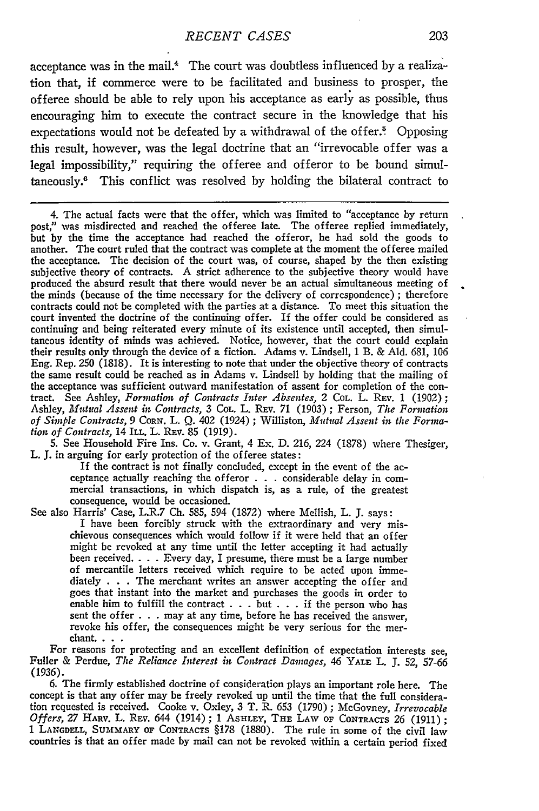#### *RECENT CASES*

acceptance was in the mail.<sup>4</sup> The court was doubtless influenced by a realization that, if commerce were to be facilitated and business to prosper, the of feree should be able to rely upon his acceptance as early as possible, thus encouraging him to execute the contract secure in the knowledge that his expectations would not be defeated by a withdrawal of the offer.<sup>5</sup> Opposing this result, however, was the legal doctrine that an "irrevocable offer was a legal impossibility," requiring the offeree and offeror to be bound simultaneously." This conflict was resolved by holding the bilateral contract to

4. The actual facts were that the offer, which was limited to "acceptance by return post," was misdirected and reached the offeree late. The offeree replied immediately, but by the time the acceptance had reached the offeror, he had sold the goods to another. The court ruled that the contract was complete at the moment the offeree mailed the acceptance. The decision of the court was, of course, shaped by the then existing subjective theory of contracts. A strict adherence to the subjective theory would have produced the absurd result that there would never be an actual simultaneous meeting of the minds (because of the time necessary for the delivery of correspondence) ; therefore contracts could not be completed with the parties at a distance. To meet this situation the court invented the doctrine of the continuing offer. If the offer could be considered as continuing and being reiterated every minute of its existence until accepted, then simultaneous identity of minds was achieved. Notice, however, that the court could explain their results only through the device of a fiction. Adams v. Lindsell, 1 B. & **Ald. 681, 106** Eng. Rep. **250 (1818).** It is interesting to note that under the objective theory of contracts the same result could be reached as in Adams v. Lindsell **by** holding that the mailing of tract. See Ashley, Formation of Contracts Inter Absentes, 2 CoL. L. REv. 1 (1902); Ashley, *Mutual Assent in Contracts,* 3 CoL. L. REv. 71 (1903) ; Ferson, *The Formation of Simple Contracts, 9* CoRN. L. Q. 402 (1924) ; Williston, *Mutual Assent in the Forination of Contracts,* 14 ILL. L. **REv.** 85 (1919).

5. See Household Fire Ins. Co. v. Grant, 4 Ex. D. 216, 224 (1878) where Thesiger, L. *J.* in arguing for early protection of the of feree states:

If the contract is not finally concluded, except in the event of the acceptance actually reaching the offeror  $\ldots$  considerable delay in commercial transactions, in which dispatch is, as a rule, of the greatest consequence, would be occasioned.

See also Harris' Case, L.R.7 Ch. 585, 594 (1872) where Mellish, L. **J.** says: I have been forcibly struck with the extraordinary and very mischievous consequences which would follow if it were held that an offer might be revoked at any time until the letter accepting it had actually been received. . **.** . Every day, I presume, there must be a large number of mercantile letters received which require to be acted upon immediately . . . The merchant writes an answer accepting the offer and goes that instant into the market and purchases the goods in order to enable him to fulfill the contract  $\dots$  but  $\dots$  if the person who has sent the offer . . . may at any time, before he has received the answer, revoke his offer, the consequences might be very serious for the merchant...

For reasons for protecting and an excellent definition of expectation interests see, Fuller & Perdue, *The Reliance Interest in Contract Damages, 46* YALE L. J. 52, 57-66 (1936).

6. The firmly established doctrine of consideration plays an important role here. The concept is that any offer may be freely revoked up until the time that the full consideration requested is received. Cooke v. Oxley, 3 T. R. **653** (1790) ; McGovney, *Irrevocable Offers,* 27 HARv. L. REv. 644 (1914); 1 ASHLEY, **THE** LAW OF CONTRACTS 26 (1911); 1 **LANGDELL, SUMMARY** OF **CONTRACTS** §178 (1880). The rule in some of the civil law countries is that an offer made by mail can not be revoked within a certain period fixed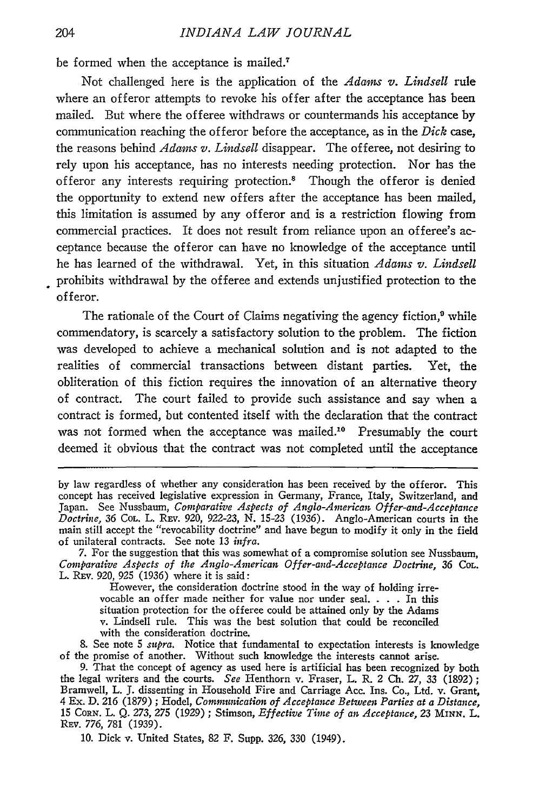be formed when the acceptance is mailed.?

Not challenged here is the application of the *Adams v. Lindsell* rule where an offeror attempts to revoke his offer after the acceptance has been mailed. But where the offeree withdraws or countermands his acceptance by communication reaching the offeror before the acceptance, as in the *Dick* case, the reasons behind *Adams v. Lindsell* disappear. The offeree, not desiring to rely upon his acceptance, has no interests needing protection. Nor has the offeror any interests requiring protection.8 Though the offeror is denied the opportunity to extend new offers after the acceptance has been mailed, this limitation is assumed by any offeror and is a restriction flowing from commercial practices. It does not result from reliance upon an offeree's acceptance because the offeror can have no knowledge of the acceptance until he has learned of the withdrawal. Yet, in this situation *Adams v. Lindsell* prohibits withdrawal by the offeree and extends unjustified protection to the offeror.

The rationale of the Court of Claims negativing the agency fiction,<sup>9</sup> while commendatory, is scarcely a satisfactory solution to the problem. The fiction was developed to achieve a mechanical solution and is not adapted to the realities of commercial transactions between distant parties. Yet, the obliteration of this fiction requires the innovation of an alternative theory of contract. The court failed to provide such assistance and say when a contract is formed, but contented itself with the declaration that the contract was not formed when the acceptance was mailed.<sup>10</sup> Presumably the court deemed it obvious that the contract was not completed until the acceptance

However, the consideration doctrine stood in the way of holding irrevocable an offer made neither for value nor under seal. . **.** . In this situation protection for the offeree could be attained only by the Adams v. Lindsell rule. This was the best solution that could be reconciled with the consideration doctrine.

**8.** See note 5 *supra.* Notice that fundamental to expectation interests is knowledge of the promise of another. Without such knowledge the interests cannot arise.

10. Dick v. United States, 82 F. Supp. *326,* 330 (1949).

by law regardless of whether any consideration has been received by the offeror. This concept has received legislative expression in Germany, France, Italy, Switzerland, and Japan. See Nussbaum, *Comparative Aspects of Anglo-American Offer-and-Acceptance Doctrine,* 36 COL. L. REv. 920, 922-23, N. 15-23 (1936). Anglo-American courts in the main still accept the "revocability doctrine" and have begun to modify it only in the field of unilateral contracts. See note 13 *infra.* 7. For the suggestion that this was somewhat of a compromise solution see Nussbaum,

*Comparative Aspects of the Anglo-American Offer-and-Acceptance Doctrine, 36* **COL.** L. REv. 920, **925** (1936) where it is said:

<sup>9.</sup> That the concept of agency as used here is artificial has been recognized by both the legal writers and the courts. *See* Henthorn v. Fraser, L. R. 2 Ch. 27, 33 (1892) **;** Bramwell, L. **J.** dissenting in Household Fire and Carriage Acc. Ins. Co., Ltd. v. Grant, 4 Ex. **D.** *216* (1879) ; Hodel, *Communication of Acceptance Between Parties at a Distance,* 15 CORN. L. Q. 273, 275 (1929) ; Stimson, *Effective Time of an Acceptance, 23* MINN. L. REv. *776,* 781 (1939).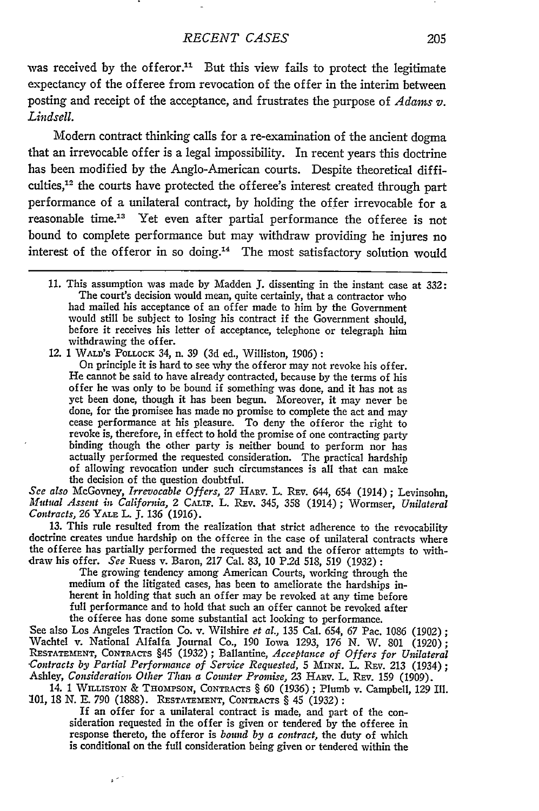was received by the offeror.<sup>11</sup> But this view fails to protect the legitimate expectancy of the of feree from revocation of the offer in the interim between posting and receipt of the acceptance, and frustrates the purpose of *Adams v. Lindsell.*

Modem contract thinking calls for a re-examination of the ancient dogma that an irrevocable offer is a legal impossibility. In recent years this doctrine has been modified **by** the Anglo-American courts. Despite theoretical difficulties,<sup>12</sup> the courts have protected the offeree's interest created through part performance of a unilateral contract, **by** holding the offer irrevocable for a reasonable time.<sup>13</sup> Yet even after partial performance the offeree is not bound to complete performance but may withdraw providing he injures no interest of the offeror in so doing.14 The most satisfactory solution would

12. 1 WALD'S **POLLOcK** 34, n. 39 **(3d** ed., Williston, 1906):

On principle it is hard to see why the offeror may not revoke his offer. He cannot be said to have already contracted, because **by** the terms of his offer he was only to be bound if something was done, and it has not as yet been done, though it has been begun. Moreover, it may never be done, for the promisee has made no promise to complete the act and may cease performance at his pleasure. To deny the offeror the right to revoke is, therefore, in effect to hold the promise of one contracting party binding though the other party is neither bound to perform nor has actually performed the requested consideration. The practical hardship of allowing revocation under such circumstances is all that can make the decision of the question doubtful.

*See also* McGovney, *Irrevocable Offers,* 27 HARV. L. REv. 644, 654 (1914) ; Levinsohn, *Mutual Assent in Califonia,* 2 CALIF. L. REv. 345, 358 (1914) ; Wormser, *Unilateral Contracts,* 26 YALE L. J. 136 (1916).

13. This rule resulted from the realization that strict adherence to the revocability doctrine creates undue hardship on the offeree in the case of unilateral contracts where the offeree has partially performed the requested act and the offeror attempts to with-

draw his offer. *See* Ruess v. Baron, 217 Cal. 83, 10 P.2d 518, 519 (1932) **:** The growing tendency among American Courts, working through the medium of the litigated cases, has been to ameliorate the hardships inherent in holding that such an offer may be revoked at any time before full performance and to hold that such an offer cannot be revoked after the offeree has done some substantial act looking to performance.

See also Los Angeles Traction Co. v. Wilshire *et al.,* 135 Cal. 654, 67 Pac. 1086 (1902); Wachtel v. National Alfalfa Journal Co., 190 Iowa 1293, 176 N. W. 801 (1920); RESTATEMENT, CONTRACTS §45 (1932) ; Ballantine, *Acceptance of Offers for Unilateral .Contracts by Partial Performance of Service Requested,* 5 **MINN.** L. REv. 213 (1934); Ashley, *Consideration Other Than a Counter Promise*, 23 HARV. L. REV. 159 (1909).

14. 1 WILISTON & **THaomPsoN,** CONTRACTS § **60** (1936) **;** Plumb v. Campbell, 129 III. 101, 18 N. E. **790** (1888). **RESTATEMENT,** CONTRACTS § 45 (1932) **:**

If an offer for a unilateral contract is made, and part of the con- sideration requested in the offer is given or tendered by the offeree in response thereto, the offeror is *bound by a contract,* the duty of which is conditional on the full consideration being given or tendered within the

 $\mathbf{s}^{(2)}$ 

<sup>11.</sup> This assumption was made **by** Madden **J.** dissenting in the instant case at 332: The court's decision would mean, quite certainly, that a contractor who had mailed his acceptance of an offer made to him **by** the Government would still be subject to losing his contract if the Government should, before it receives his letter of acceptance, telephone or telegraph him withdrawing the offer.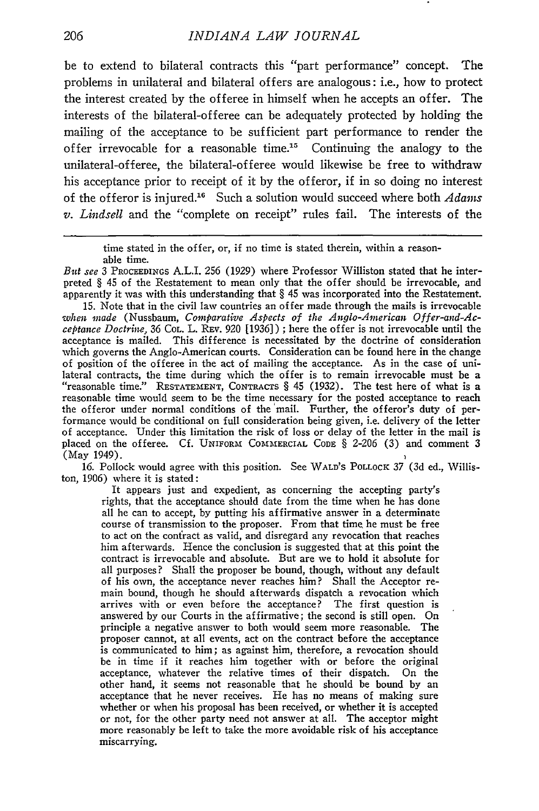be to extend to bilateral contracts this "part performance" concept. The problems in unilateral and bilateral offers are analogous: i.e., how to protect the interest created by the offeree in himself when he accepts an offer. The interests of the bilateral-offeree can be adequately protected by holding the mailing of the acceptance to be sufficient part performance to render the offer irrevocable for a reasonable time.15 Continuing the analogy to the unilateral-offeree, the bilateral-offeree would likewise be free to withdraw his acceptance prior to receipt of it by the offeror, if in so doing no interest of the offeror is injured.16 Such a solution would succeed where both *Adams v. Lindsell* and the "complete on receipt" rules fail. The interests of the

15. Note that in the civil law countries an offer made through the mails is irrevocable *when made* (Nussbaum, *Comparative Aspects of the Anglo-American Offer-and-Acceptance Doctrne,* 36 COL. L. REv. 920 [1936]) **;** here the offer is not irrevocable until the acceptance is mailed. This difference is necessitated by the doctrine of consideration which governs the Anglo-American courts. Consideration can be found here in the change of position of the offeree in the act of mailing the acceptance. As in the case of unilateral contracts, the time during which the offer is to remain irrevocable must be a "reasonable time." RESTATEMENT, CONTRACTS  $\S$  45 (1932). The test here of what is a reasonable time would seem to be the time necessary the offeror under normal conditions of the 'mail. Further, the offeror's duty of performance would be conditional on full consideration being given, i.e. delivery of the letter of acceptance. Under this limitation the risk of loss or delay of the letter in the mail is placed on the offeree. Cf. **UNIFORM** COMMERCIAL **CODE** § 2-206 (3) and comment 3 (May 1949).

16. Pollock would agree with this position. See WALD'S POLLOCK 37 (3d ed., Williston, 1906) where it is stated:

It appears just and expedient, as concerning the accepting party's rights, that the acceptance should date from the time when he has done all he can to accept, by putting his affirmative answer in a determinate course of transmission to the proposer. From that time he must be free to act on the confract as valid, and disregard any revocation that reaches him afterwards. Hence the conclusion is suggested that at this point the contract is irrevocable and absolute. But are we to hold it absolute for all purposes? Shall the proposer be bound, though, without any default of his own, the acceptance never reaches him? Shall the Acceptor re- main bound, though he should afterwards dispatch a revocation which arrives with or even before the acceptance? The first question is answered by our Courts in the affirmative; the second is still open. On principle a negative answer to both would seem more reasonable. The proposer cannot, at all events, act on the contract before the acceptance is communicated to him; as against him, therefore, a revocation should be in time if it reaches him together with or before the original acceptance, whatever the relative times of their dispatch. On the other hand, it seems not reasonable that he should be bound by an acceptance that he never receives. He has no means of making sure whether or when his proposal has been received, or whether it is accepted or not, for the other party need not answer at all. The acceptor might more reasonably be left to take the more avoidable risk of his acceptance miscarrying.

time stated in the offer, or, if no time is stated therein, within a reasonable time.

*But see* 3 PROCEEDINGS A.L.I. 256 (1929) where Professor Williston stated that he interpreted § 45 of the Restatement to mean only that the offer should be irrevocable, and apparently it was with this understanding that § 45 was incorporated into the Restatement.